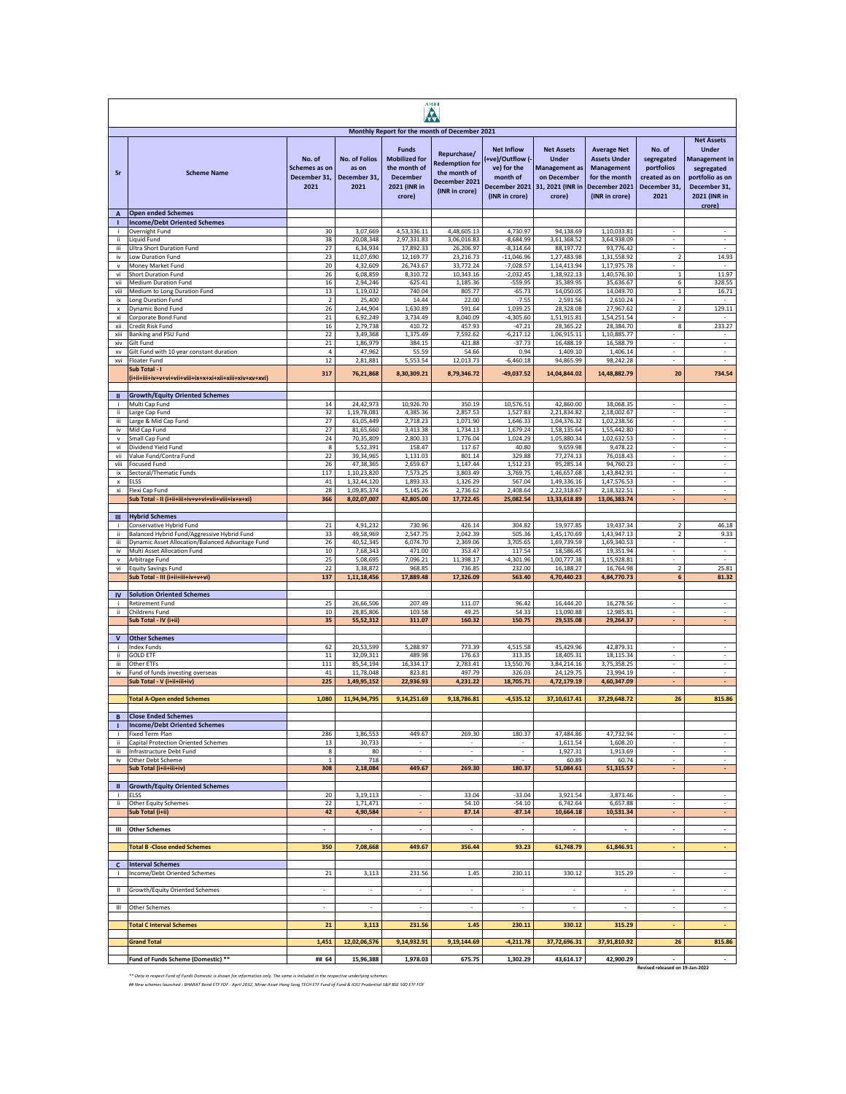| <b>AMEI</b><br>٨   |                                                                                                 |                                                 |                                                       |                                                                                                   |                                                                                         |                                                                                                    |                                                                                                        |                                                                                                                    |                                                                             |                                                                                                                 |
|--------------------|-------------------------------------------------------------------------------------------------|-------------------------------------------------|-------------------------------------------------------|---------------------------------------------------------------------------------------------------|-----------------------------------------------------------------------------------------|----------------------------------------------------------------------------------------------------|--------------------------------------------------------------------------------------------------------|--------------------------------------------------------------------------------------------------------------------|-----------------------------------------------------------------------------|-----------------------------------------------------------------------------------------------------------------|
|                    |                                                                                                 |                                                 |                                                       |                                                                                                   | Monthly Report for the month of December 2021                                           |                                                                                                    |                                                                                                        |                                                                                                                    |                                                                             | <b>Net Assets</b>                                                                                               |
| Sr                 | <b>Scheme Name</b>                                                                              | No. of<br>Schemes as on<br>December 31,<br>2021 | <b>No. of Folios</b><br>as on<br>December 31,<br>2021 | <b>Funds</b><br><b>Mobilized for</b><br>the month of<br><b>December</b><br>2021 (INR in<br>crore) | Repurchase/<br><b>Redemption for</b><br>the month of<br>December 2021<br>(INR in crore) | <b>Net Inflow</b><br>+ve)/Outflow (-<br>ve) for the<br>month of<br>December 2021<br>(INR in crore) | <b>Net Assets</b><br><b>Under</b><br><b>Management as</b><br>on December<br>31, 2021 (INR in<br>crore) | <b>Average Net</b><br><b>Assets Under</b><br><b>Management</b><br>for the month<br>December 2021<br>(INR in crore) | No. of<br>segregated<br>portfolios<br>created as on<br>December 31,<br>2021 | <b>Under</b><br><b>Management in</b><br>segregated<br>portfolio as on<br>December 31,<br>2021 (INR in<br>crore) |
| $\overline{A}$     | <b>Open ended Schemes</b>                                                                       |                                                 |                                                       |                                                                                                   |                                                                                         |                                                                                                    |                                                                                                        |                                                                                                                    |                                                                             |                                                                                                                 |
| j.                 | <b>Income/Debt Oriented Schemes</b><br>Overnight Fund                                           | 30                                              | 3,07,669                                              | 4,53,336.11                                                                                       | 4,48,605.13                                                                             | 4,730.97                                                                                           | 94,138.69                                                                                              | 1,10,033.81                                                                                                        |                                                                             |                                                                                                                 |
| ii.                | Liquid Fund                                                                                     | 38                                              | 20,08,348                                             | 2,97,331.83                                                                                       | 3,06,016.83                                                                             | $-8,684.99$                                                                                        | 3,61,368.52                                                                                            | 3,64,938.09                                                                                                        |                                                                             |                                                                                                                 |
| iίi<br>iv          | <b>Ultra Short Duration Fund</b><br>Low Duration Fund                                           | 27<br>23                                        | 6,34,934<br>11,07,690                                 | 17,892.33<br>12,169.77                                                                            | 26,206.97<br>23,216.73                                                                  | $-8,314.64$<br>$-11,046.96$                                                                        | 88.197.72<br>1,27,483.98                                                                               | 93,776.42<br>1,31,558.92                                                                                           | $\overline{\mathbf{2}}$                                                     | 14.93                                                                                                           |
| v                  | Money Market Fund                                                                               | 20                                              | 4,32,609                                              | 26,743.67                                                                                         | 33,772.24                                                                               | $-7,028.57$                                                                                        | 1,14,413.94                                                                                            | 1,17,975.78                                                                                                        |                                                                             | $\overline{\phantom{a}}$                                                                                        |
| vi                 | Short Duration Fund                                                                             | 26                                              | 6,08,859                                              | 8,310.72                                                                                          | 10,343.16                                                                               | $-2,032.45$                                                                                        | 1,38,922.13                                                                                            | 1,40,576.30                                                                                                        | $\mathbf{1}$                                                                | 11.97                                                                                                           |
| vii<br>viii        | Medium Duration Fund<br>Medium to Long Duration Fund                                            | 16<br>13                                        | 2,94,246<br>1,19,032                                  | 625.41<br>740.04                                                                                  | 1,185.36<br>805.77                                                                      | $-559.95$<br>$-65.73$                                                                              | 35,389.95<br>14,050.05                                                                                 | 35,636.67<br>14,049.70                                                                                             | 6<br>$\mathbf 1$                                                            | 328.55<br>16.71                                                                                                 |
| ix                 | Long Duration Fund                                                                              | $\overline{2}$                                  | 25,400                                                | 14.44                                                                                             | 22.00                                                                                   | $-7.55$                                                                                            | 2,591.56                                                                                               | 2,610.24                                                                                                           |                                                                             |                                                                                                                 |
| $\mathbf{x}$<br>xi | Dynamic Bond Fund<br>Corporate Bond Fund                                                        | 26<br>21                                        | 2,44,904<br>6,92,249                                  | 1,630.89<br>3,734.49                                                                              | 591.64<br>8,040.09                                                                      | 1,039.25<br>$-4,305.60$                                                                            | 28,328.08<br>1,51,915.81                                                                               | 27,967.62<br>1,54,251.54                                                                                           | $\overline{2}$                                                              | 129.11                                                                                                          |
| xii                | Credit Risk Fund                                                                                | 16                                              | 2,79,738                                              | 410.72                                                                                            | 457.93                                                                                  | $-47.21$                                                                                           | 28,365.22                                                                                              | 28,384.70                                                                                                          | 8                                                                           | 233.27                                                                                                          |
| xiii<br>xiv        | Banking and PSU Fund<br>Gilt Fund                                                               | 22                                              | 3,49,368                                              | 1,375.49<br>384.15                                                                                | 7,592.62<br>421.88                                                                      | $-6,217.12$<br>$-37.73$                                                                            | 1,06,915.11                                                                                            | 1,10,885.77                                                                                                        |                                                                             | $\overline{\phantom{a}}$                                                                                        |
| XV                 | Gilt Fund with 10 year constant duration                                                        | 21<br>$\sqrt{4}$                                | 1,86,979<br>47,962                                    | 55.59                                                                                             | 54.66                                                                                   | 0.94                                                                                               | 16,488.19<br>1,409.10                                                                                  | 16,588.79<br>1,406.14                                                                                              |                                                                             |                                                                                                                 |
| xvi                | Floater Fund                                                                                    | 12                                              | 2,81,881                                              | 5,553.54                                                                                          | 12,013.73                                                                               | $-6,460.18$                                                                                        | 94,865.99                                                                                              | 98,242.28                                                                                                          |                                                                             |                                                                                                                 |
|                    | Sub Total - I                                                                                   | 317                                             | 76,21,868                                             | 8,30,309.21                                                                                       | 8,79,346.72                                                                             | $-49,037.52$                                                                                       | 14,04,844.02                                                                                           | 14,48,882.79                                                                                                       | 20                                                                          | 734.54                                                                                                          |
| Ш                  | <b>Growth/Equity Oriented Schemes</b>                                                           |                                                 |                                                       |                                                                                                   |                                                                                         |                                                                                                    |                                                                                                        |                                                                                                                    |                                                                             |                                                                                                                 |
| j.                 | Multi Cap Fund                                                                                  | 14                                              | 24,42,973                                             | 10,926.70                                                                                         | 350.19                                                                                  | 10,576.51                                                                                          | 42,860.00                                                                                              | 38,068.35                                                                                                          | ÷.                                                                          | ÷,                                                                                                              |
| ii<br>iii          | Large Cap Fund<br>Large & Mid Cap Fund                                                          | 32<br>27                                        | 1,19,78,081<br>61,05,449                              | 4.385.36<br>2,718.23                                                                              | 2,857.53<br>1,071.90                                                                    | 1,527.83<br>1,646.33                                                                               | 2,21,834.82<br>1,04,376.32                                                                             | 2,18,002.67<br>1,02,238.56                                                                                         | ä,<br>÷                                                                     | ÷.<br>$\epsilon$                                                                                                |
| iv                 | Mid Cap Fund                                                                                    | 27                                              | 81,65,660                                             | 3,413.38                                                                                          | 1,734.13                                                                                | 1,679.24                                                                                           | 1,58,135.64                                                                                            | 1,55,442.80                                                                                                        |                                                                             |                                                                                                                 |
| v<br>vi            | Small Cap Fund<br>Dividend Yield Fund                                                           | 24<br>8                                         | 70,35,809                                             | 2,800.33<br>158.47                                                                                | 1,776.04<br>117.67                                                                      | 1,024.29<br>40.80                                                                                  | 1,05,880.34                                                                                            | 1,02,632.53<br>9.478.22                                                                                            |                                                                             |                                                                                                                 |
| vii                | Value Fund/Contra Fund                                                                          | 22                                              | 5,52,391<br>39, 34, 965                               | 1,131.03                                                                                          | 801.14                                                                                  | 329.88                                                                                             | 9,659.98<br>77,274.13                                                                                  | 76,018.43                                                                                                          |                                                                             |                                                                                                                 |
| viii               | <b>Focused Fund</b>                                                                             | 26                                              | 47,38,365                                             | 2,659.67                                                                                          | 1,147.44                                                                                | 1,512.23                                                                                           | 95,285.14                                                                                              | 94,760.23                                                                                                          | $\overline{\phantom{a}}$                                                    | $\sim$                                                                                                          |
| ix<br>x            | Sectoral/Thematic Funds<br>ELSS                                                                 | 117<br>41                                       | 1,10,23,820<br>1,32,44,120                            | 7,573.25<br>1,893.33                                                                              | 3,803.49<br>1,326.29                                                                    | 3,769.75<br>567.04                                                                                 | 1,46,657.68<br>1,49,336.16                                                                             | 1,43,842.91<br>1,47,576.53                                                                                         | $\overline{\phantom{a}}$<br>$\overline{\phantom{a}}$                        | $\overline{\phantom{a}}$<br>$\overline{\phantom{a}}$                                                            |
| xi                 | Flexi Cap Fund                                                                                  | 28                                              | 1,09,85,374                                           | 5,145.26                                                                                          | 2,736.62                                                                                | 2.408.64                                                                                           | 2,22,318.67                                                                                            | 2,18,322.51                                                                                                        | $\overline{\phantom{a}}$                                                    | $\overline{\phantom{a}}$                                                                                        |
|                    | Sub Total - II (i+ii+iii+iv+v+vi+vii+viii+ix+x+xi)                                              | 366                                             | 8,02,07,007                                           | 42,805.00                                                                                         | 17,722.45                                                                               | 25,082.54                                                                                          | 13,33,618.89                                                                                           | 13,06,383.74                                                                                                       | ٠                                                                           | ä,                                                                                                              |
| Ш                  | <b>Hybrid Schemes</b>                                                                           |                                                 |                                                       |                                                                                                   |                                                                                         |                                                                                                    |                                                                                                        |                                                                                                                    |                                                                             |                                                                                                                 |
|                    | Conservative Hybrid Fund                                                                        | 21                                              | 4,91,232                                              | 730.96                                                                                            | 426.14                                                                                  | 304.82                                                                                             | 19,977.85                                                                                              | 19,437.34                                                                                                          | 2                                                                           | 46.18                                                                                                           |
| ii<br>iii.         | Balanced Hybrid Fund/Aggressive Hybrid Fund<br>Dynamic Asset Allocation/Balanced Advantage Fund | 33<br>26                                        | 49,58,969<br>40,52,345                                | 2,547.75<br>6,074.70                                                                              | 2,042.39<br>2,369.06                                                                    | 505.36<br>3,705.65                                                                                 | 1,45,170.69<br>1,69,739.59                                                                             | 1,43,947.13<br>1,69,340.53                                                                                         | $\overline{\mathbf{2}}$                                                     | 9.33<br>$\overline{\phantom{a}}$                                                                                |
| iv                 | Multi Asset Allocation Fund                                                                     | 10                                              | 7,68,343                                              | 471.00                                                                                            | 353.47                                                                                  | 117.54                                                                                             | 18,586.45                                                                                              | 19,351.94                                                                                                          |                                                                             |                                                                                                                 |
| v<br>vi            | Arbitrage Fund<br><b>Equity Savings Fund</b>                                                    | 25<br>22                                        | 5,08,695<br>3,38,872                                  | 7,096.21<br>968.85                                                                                | 11,398.17<br>736.85                                                                     | $-4,301.96$<br>232.00                                                                              | 1,00,777.38<br>16,188.27                                                                               | 1,15,928.81<br>16,764.98                                                                                           | $\overline{2}$                                                              | 25.81                                                                                                           |
|                    | Sub Total - III (i+ii+iii+iv+v+vi)                                                              | 137                                             | 1,11,18,456                                           | 17,889.48                                                                                         | 17,326.09                                                                               | 563.40                                                                                             | 4,70,440.23                                                                                            | 4,84,770.73                                                                                                        | 6                                                                           | 81.32                                                                                                           |
|                    |                                                                                                 |                                                 |                                                       |                                                                                                   |                                                                                         |                                                                                                    |                                                                                                        |                                                                                                                    |                                                                             |                                                                                                                 |
| IV                 | <b>Solution Oriented Schemes</b><br><b>Retirement Fund</b>                                      | 25                                              | 26,66,506                                             | 207.49                                                                                            | 111.07                                                                                  | 96.42                                                                                              | 16,444.20                                                                                              | 16,278.56                                                                                                          | ÷                                                                           | ÷                                                                                                               |
| ii.                | Childrens Fund                                                                                  | 10                                              | 28,85,806                                             | 103.58                                                                                            | 49.25                                                                                   | 54.33                                                                                              | 13,090.88                                                                                              | 12,985.81                                                                                                          | ٠                                                                           | $\sim$                                                                                                          |
|                    | Sub Total - IV (i+ii)                                                                           | 35                                              | 55,52,312                                             | 311.07                                                                                            | 160.32                                                                                  | 150.75                                                                                             | 29,535.08                                                                                              | 29,264.37                                                                                                          |                                                                             |                                                                                                                 |
| $\mathsf{v}$       | <b>Other Schemes</b>                                                                            |                                                 |                                                       |                                                                                                   |                                                                                         |                                                                                                    |                                                                                                        |                                                                                                                    |                                                                             |                                                                                                                 |
| j.                 | <b>Index Funds</b>                                                                              | 62                                              | 20,53,599                                             | 5,288.97                                                                                          | 773.39                                                                                  | 4,515.58                                                                                           | 45,429.96<br>18,405.31                                                                                 | 42,879.31<br>18,115.34                                                                                             | $\overline{\phantom{a}}$<br>$\overline{\phantom{a}}$                        | $\overline{\phantom{a}}$<br>$\cdot$                                                                             |
| ii.<br>iii         | <b>GOLD ETF</b><br>Other ETFs                                                                   | 11<br>111                                       | 32,09,311<br>85,54,194                                | 489.98<br>16,334.17                                                                               | 176.63<br>2,783.41                                                                      | 313.35<br>13,550.76                                                                                | 3,84,214.16                                                                                            | 3,75,358.25                                                                                                        | $\overline{\phantom{a}}$                                                    | $\overline{\phantom{a}}$                                                                                        |
| iv                 | Fund of funds investing overseas                                                                | 41                                              | 11,78,048                                             | 823.81                                                                                            | 497.79                                                                                  | 326.03                                                                                             | 24,129.75                                                                                              | 23,994.19                                                                                                          | $\sim$                                                                      | $\sim$                                                                                                          |
|                    | Sub Total - V (i+ii+iii+iv)                                                                     | 225                                             | 1,49,95,152                                           | 22,936.93                                                                                         | 4,231.22                                                                                | 18,705.71                                                                                          | 4,72,179.19                                                                                            | 4,60,347.09                                                                                                        | ÷                                                                           | ÷                                                                                                               |
|                    | <b>Total A-Open ended Schemes</b>                                                               | 1,080                                           | 11,94,94,795                                          | 9,14,251.69                                                                                       | 9,18,786.81                                                                             | $-4,535.12$                                                                                        | 37,10,617.41                                                                                           | 37,29,648.72                                                                                                       | 26                                                                          | 815.86                                                                                                          |
| в                  | Close Ended Schemes                                                                             |                                                 |                                                       |                                                                                                   |                                                                                         |                                                                                                    |                                                                                                        |                                                                                                                    |                                                                             |                                                                                                                 |
|                    | <b>Income/Debt Oriented Schemes</b>                                                             |                                                 |                                                       |                                                                                                   |                                                                                         |                                                                                                    |                                                                                                        |                                                                                                                    |                                                                             |                                                                                                                 |
| ÷<br>ii.           | Fixed Term Plan<br>Capital Protection Oriented Schemes                                          | 286<br>13                                       | 1,86,553<br>30,733                                    | 449.67<br>$\overline{\phantom{a}}$                                                                | 269.30<br>$\sim$                                                                        | 180.37<br>$\overline{\phantom{a}}$                                                                 | 47,484.86<br>1,611.54                                                                                  | 47,732.94<br>1,608.20                                                                                              | $\overline{\phantom{a}}$<br>$\sim$                                          | $\sim$<br>$\sim$                                                                                                |
| iii                | Infrastructure Debt Fund                                                                        | 8                                               | 80                                                    | $\overline{\phantom{a}}$                                                                          | $\sim$                                                                                  | $\sim$                                                                                             | 1,927.31                                                                                               | 1,913.69                                                                                                           | $\sim$                                                                      | $\sim$                                                                                                          |
| iv                 | Other Debt Scheme                                                                               | $\mathbf 1$                                     | 718                                                   | ÷                                                                                                 | ÷                                                                                       | ÷,                                                                                                 | 60.89                                                                                                  | 60.74                                                                                                              | ÷.<br>÷.                                                                    | ÷                                                                                                               |
|                    | Sub Total (i+ii+iii+iv)                                                                         | 308                                             | 2,18,084                                              | 449.67                                                                                            | 269.30                                                                                  | 180.37                                                                                             | 51,084.61                                                                                              | 51,315.57                                                                                                          |                                                                             | $\sim$                                                                                                          |
| $\mathbf{u}$       | <b>Growth/Equity Oriented Schemes</b>                                                           |                                                 |                                                       |                                                                                                   |                                                                                         |                                                                                                    |                                                                                                        |                                                                                                                    |                                                                             |                                                                                                                 |
| ii.                | <b>ELSS</b><br>Other Equity Schemes                                                             | 20<br>22                                        | 3,19,113<br>1,71,471                                  |                                                                                                   | 33.04<br>54.10                                                                          | $-33.04$<br>$-54.10$                                                                               | 3,921.54<br>6,742.64                                                                                   | 3,873.46<br>6,657.88                                                                                               |                                                                             |                                                                                                                 |
|                    | Sub Total (i+ii)                                                                                | 42                                              | 4,90,584                                              | ٠                                                                                                 | 87.14                                                                                   | $-87.14$                                                                                           | 10,664.18                                                                                              | 10,531.34                                                                                                          | ٠                                                                           | ٠                                                                                                               |
|                    | <b>Other Schemes</b>                                                                            |                                                 |                                                       |                                                                                                   |                                                                                         |                                                                                                    |                                                                                                        |                                                                                                                    |                                                                             |                                                                                                                 |
| Ш                  |                                                                                                 | ٠                                               | $\cdot$                                               | $\overline{\phantom{a}}$                                                                          | $\cdot$                                                                                 | $\cdot$                                                                                            | $\sim$                                                                                                 | $\epsilon$                                                                                                         | ٠                                                                           | $\overline{\phantom{a}}$                                                                                        |
|                    | <b>Total B-Close ended Schemes</b>                                                              | 350                                             | 7,08,668                                              | 449.67                                                                                            | 356.44                                                                                  | 93.23                                                                                              | 61,748.79                                                                                              | 61,846.91                                                                                                          | ٠                                                                           | $\sim$                                                                                                          |
| c                  | <b>Interval Schemes</b>                                                                         |                                                 |                                                       |                                                                                                   |                                                                                         |                                                                                                    |                                                                                                        |                                                                                                                    |                                                                             |                                                                                                                 |
| п                  | Income/Debt Oriented Schemes                                                                    | 21                                              | 3,113                                                 | 231.56                                                                                            | 1.45                                                                                    | 230.11                                                                                             | 330.12                                                                                                 | 315.29                                                                                                             | ٠                                                                           | $\sim$                                                                                                          |
| Ш                  | Growth/Equity Oriented Schemes                                                                  |                                                 | $\overline{\phantom{a}}$                              |                                                                                                   |                                                                                         |                                                                                                    |                                                                                                        |                                                                                                                    |                                                                             |                                                                                                                 |
|                    |                                                                                                 |                                                 |                                                       |                                                                                                   |                                                                                         |                                                                                                    |                                                                                                        |                                                                                                                    |                                                                             |                                                                                                                 |
| Ш                  | Other Schemes                                                                                   |                                                 | $\overline{\phantom{a}}$                              | $\overline{\phantom{a}}$                                                                          | $\overline{\phantom{a}}$                                                                | $\overline{\phantom{a}}$                                                                           | $\overline{\phantom{a}}$                                                                               | $\overline{\phantom{a}}$                                                                                           | $\overline{\phantom{a}}$                                                    | $\overline{\phantom{a}}$                                                                                        |
|                    | <b>Total C Interval Schemes</b>                                                                 | 21                                              | 3,113                                                 | 231.56                                                                                            | 1.45                                                                                    | 230.11                                                                                             | 330.12                                                                                                 | 315.29                                                                                                             | ٠                                                                           | ×                                                                                                               |
|                    |                                                                                                 |                                                 |                                                       |                                                                                                   |                                                                                         |                                                                                                    |                                                                                                        |                                                                                                                    |                                                                             |                                                                                                                 |
|                    | <b>Grand Total</b>                                                                              | 1,451                                           | 12,02,06,576                                          | 9,14,932.91                                                                                       | 9,19,144.69                                                                             | $-4,211.78$                                                                                        | 37,72,696.31                                                                                           | 37,91,810.92                                                                                                       | 26                                                                          | 815.86                                                                                                          |
|                    | Fund of Funds Scheme (Domestic) **                                                              | ## 64                                           | 15,96,388                                             | 1,978.03                                                                                          | 675.75                                                                                  | 1,302.29                                                                                           | 43,614.17                                                                                              | 42,900.29                                                                                                          | Revised released on 19-Jan-2022                                             |                                                                                                                 |

\*\* Data in respect Fund of Funds Domestic is shown for information only. The same is included in the respective underlying schemes.<br>## New schemes launched - BHARAT Bond ETF FOF - April 2032, Mirae Asset Hang Seng TECH ETF